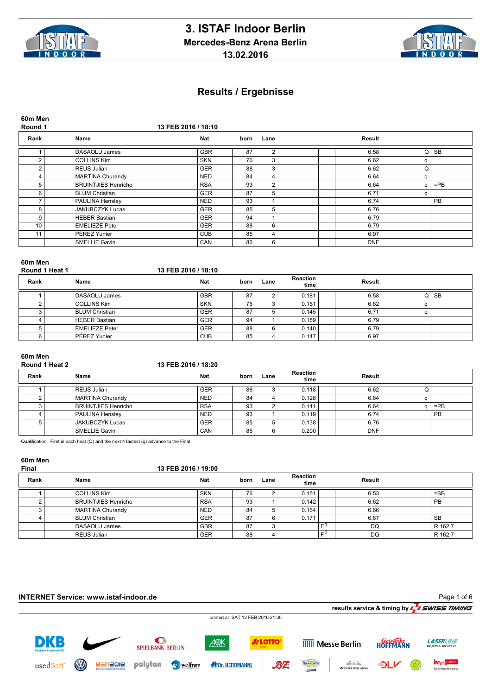



| 60m Men<br>Round 1 |                            | 13 FEB 2016 / 18:10 |      |                |            |   |           |
|--------------------|----------------------------|---------------------|------|----------------|------------|---|-----------|
| Rank               | Name                       | <b>Nat</b>          | born | Lane           | Result     |   |           |
|                    | DASAOLU James              | <b>GBR</b>          | 87   | $\overline{2}$ | 6.58       | Q | SB        |
| 2                  | <b>COLLINS Kim</b>         | <b>SKN</b>          | 76   | 3              | 6.62       | a |           |
| $\overline{2}$     | REUS Julian                | <b>GER</b>          | 88   | 3              | 6.62       | Q |           |
| 4                  | <b>MARTINA Churandy</b>    | <b>NED</b>          | 84   | 4              | 6.64       | a |           |
| 5                  | <b>BRUINTJIES Henricho</b> | <b>RSA</b>          | 93   | $\overline{2}$ | 6.64       | α | $=$ PB    |
| 6                  | <b>BLUM Christian</b>      | <b>GER</b>          | 87   | 5              | 6.71       | a |           |
|                    | PAULINA Hensley            | <b>NED</b>          | 93   |                | 6.74       |   | <b>PB</b> |
| 8                  | <b>JAKUBCZYK Lucas</b>     | <b>GER</b>          | 85   | 5              | 6.76       |   |           |
| 9                  | <b>HEBER Bastian</b>       | <b>GER</b>          | 94   |                | 6.79       |   |           |
| 10 <sup>°</sup>    | <b>EMELIEZE Peter</b>      | <b>GER</b>          | 88   | 6              | 6.79       |   |           |
| 11                 | PÉREZ Yunier               | <b>CUB</b>          | 85   | 4              | 6.97       |   |           |
|                    | <b>SMELLIE Gavin</b>       | <b>CAN</b>          | 86   | 6              | <b>DNF</b> |   |           |

## **60m Men**

| Round 1 Heat 1 |                       | 13 FEB 2016 / 18:10 |      |      |                         |        |    |
|----------------|-----------------------|---------------------|------|------|-------------------------|--------|----|
| Rank           | Name                  | <b>Nat</b>          | born | Lane | <b>Reaction</b><br>time | Result |    |
|                | DASAOLU James         | <b>GBR</b>          | 87   |      | 0.181                   | 6.58   | SB |
|                | COLLINS Kim           | <b>SKN</b>          | 76   |      | 0.151                   | 6.62   |    |
|                | I BLUM Christian      | <b>GER</b>          | 87   | 5    | 0.145                   | 6.71   |    |
|                | <b>HEBER Bastian</b>  | <b>GER</b>          | 94   |      | 0.189                   | 6.79   |    |
|                | <b>EMELIEZE Peter</b> | <b>GER</b>          | 88   | 6    | 0.140                   | 6.79   |    |
| 6              | PÉREZ Yunier          | <b>CUB</b>          | 85   |      | 0.147                   | 6.97   |    |

### **60m Men**

| Round 1 Heat 2 | 13 FEB 2016 / 18:20 |
|----------------|---------------------|
|                |                     |

| Rank | Name                       | <b>Nat</b> | born | Lane | <b>Reaction</b><br>time | Result     |   |           |
|------|----------------------------|------------|------|------|-------------------------|------------|---|-----------|
|      | REUS Julian                | GER        | 88   | J    | 0.118                   | 6.62       | v |           |
|      | MARTINA Churandy           | <b>NED</b> | 84   | 4    | 0.128                   | 6.64       |   |           |
|      | <b>BRUINTJIES Henricho</b> | <b>RSA</b> | 93   | ◠    | 0.141                   | 6.64       |   | $=$ PB    |
|      | <b>PAULINA Hensley</b>     | <b>NED</b> | 93   |      | 0.119                   | 6.74       |   | <b>PB</b> |
|      | <b>JAKUBCZYK Lucas</b>     | <b>GER</b> | 85   |      | 0.138                   | 6.76       |   |           |
|      | SMELLIE Gavin              | CAN        | 86   | 6    | 0.200                   | <b>DNF</b> |   |           |

Qualification: First in each heat (Q) and the next 4 fastest (q) advance to the Final

# **60m Men**

#### **Final 13 FEB 2016 / 19:00**

| Rank | Name                | <b>Nat</b> | born | Lane | <b>Reaction</b><br>time |    | Result |           |
|------|---------------------|------------|------|------|-------------------------|----|--------|-----------|
|      | <b>COLLINS Kim</b>  | <b>SKN</b> | 76   |      | 0.151                   |    | 6.53   | $=$ SB    |
|      | BRUINTJIES Henricho | <b>RSA</b> | 93   |      | 0.142                   |    | 6.62   | <b>PB</b> |
|      | MARTINA Churandy    | <b>NED</b> | 84   |      | 0.164                   |    | 6.66   |           |
|      | BLUM Christian      | <b>GER</b> | 87   | 6    | 0.171                   |    | 6.67   | <b>SB</b> |
|      | DASAOLU James       | <b>GBR</b> | 87   |      |                         | c. | DQ     | R 162.7   |
|      | REUS Julian         | <b>GER</b> | 88   |      |                         | c2 | DQ     | R 162.7   |

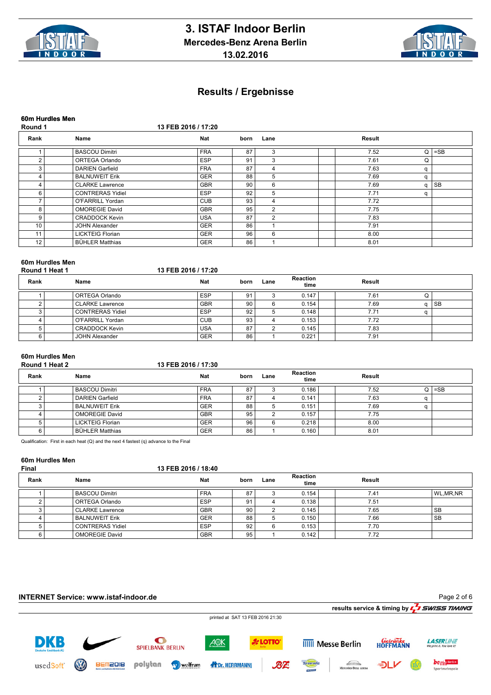



|                          | 60m Hurdles Men         |                     |      |                |        |   |        |
|--------------------------|-------------------------|---------------------|------|----------------|--------|---|--------|
| Round 1                  |                         | 13 FEB 2016 / 17:20 |      |                |        |   |        |
| Rank                     | Name                    | <b>Nat</b>          | born | Lane           | Result |   |        |
|                          | <b>BASCOU Dimitri</b>   | <b>FRA</b>          | 87   | 3              | 7.52   | Q | $=$ SB |
| $\overline{2}$           | <b>ORTEGA Orlando</b>   | <b>ESP</b>          | 91   | 3              | 7.61   | Q |        |
| 3                        | <b>DARIEN Garfield</b>  | <b>FRA</b>          | 87   | 4              | 7.63   | q |        |
| 4                        | <b>BALNUWEIT Erik</b>   | <b>GER</b>          | 88   | 5              | 7.69   | α |        |
| 4                        | <b>CLARKE Lawrence</b>  | <b>GBR</b>          | 90   | 6              | 7.69   | a | SB     |
| 6                        | <b>CONTRERAS Yidiel</b> | <b>ESP</b>          | 92   | 5              | 7.71   | a |        |
| $\overline{\phantom{a}}$ | O'FARRILL Yordan        | <b>CUB</b>          | 93   | 4              | 7.72   |   |        |
| 8                        | <b>OMOREGIE David</b>   | <b>GBR</b>          | 95   | $\overline{2}$ | 7.75   |   |        |
| 9                        | <b>CRADDOCK Kevin</b>   | <b>USA</b>          | 87   | $\overline{2}$ | 7.83   |   |        |
| 10                       | <b>JOHN Alexander</b>   | <b>GER</b>          | 86   |                | 7.91   |   |        |
| 11                       | <b>LICKTEIG Florian</b> | <b>GER</b>          | 96   | 6              | 8.00   |   |        |
| 12 <sub>1</sub>          | <b>BÜHLER Matthias</b>  | <b>GER</b>          | 86   |                | 8.01   |   |        |

|                | 60m Hurdles Men         |                     |      |        |                         |        |  |           |  |  |  |
|----------------|-------------------------|---------------------|------|--------|-------------------------|--------|--|-----------|--|--|--|
| Round 1 Heat 1 |                         | 13 FEB 2016 / 17:20 |      |        |                         |        |  |           |  |  |  |
| Rank<br>Name   |                         | <b>Nat</b>          | born | Lane   | <b>Reaction</b><br>time | Result |  |           |  |  |  |
|                | ORTEGA Orlando          | <b>ESP</b>          | 91   |        | 0.147                   | 7.61   |  |           |  |  |  |
|                | <b>CLARKE Lawrence</b>  | <b>GBR</b>          | 90   | 6      | 0.154                   | 7.69   |  | <b>SB</b> |  |  |  |
|                | <b>CONTRERAS Yidiel</b> | <b>ESP</b>          | 92   | 5      | 0.148                   | 7.71   |  |           |  |  |  |
|                | O'FARRILL Yordan        | <b>CUB</b>          | 93   | 4      | 0.153                   | 7.72   |  |           |  |  |  |
|                | <b>CRADDOCK Kevin</b>   | <b>USA</b>          | 87   | $\sim$ | 0.145                   | 7.83   |  |           |  |  |  |
|                | <b>JOHN Alexander</b>   | <b>GER</b>          | 86   |        | 0.221                   | 7.91   |  |           |  |  |  |

### **60m Hurdles Men**

| Round 1 Heat 2 | 13 FEB 2016 / 17:30 |
|----------------|---------------------|
|                |                     |

| Rank | Name                    | <b>Nat</b> | born | Lane | <b>Reaction</b><br>time | Result |     |        |
|------|-------------------------|------------|------|------|-------------------------|--------|-----|--------|
|      | <b>BASCOU Dimitri</b>   | <b>FRA</b> | 87   |      | 0.186                   | 7.52   | O I | $=$ SB |
|      | DARIEN Garfield         | <b>FRA</b> | 87   |      | 0.141                   | 7.63   |     |        |
|      | <b>BALNUWEIT Erik</b>   | <b>GER</b> | 88   |      | 0.151                   | 7.69   |     |        |
|      | <b>OMOREGIE David</b>   | <b>GBR</b> | 95   |      | 0.157                   | 7.75   |     |        |
|      | <b>LICKTEIG Florian</b> | <b>GER</b> | 96   |      | 0.218                   | 8.00   |     |        |
|      | BÜHLER Matthias         | <b>GER</b> | 86   |      | 0.160                   | 8.01   |     |        |

Qualification: First in each heat (Q) and the next 4 fastest (q) advance to the Final

# **60m Hurdles Men**

#### **Final 13 FEB 2016 / 18:40**

| Rank | Name                    | Nat        | born | Lane | <b>Reaction</b><br>time | Result |            |
|------|-------------------------|------------|------|------|-------------------------|--------|------------|
|      | l BASCOU Dimitri        | <b>FRA</b> | 87   |      | 0.154                   | 7.41   | WL, MR, NR |
|      | ORTEGA Orlando          | <b>ESP</b> | 91   |      | 0.138                   | 7.51   |            |
|      | <b>CLARKE Lawrence</b>  | <b>GBR</b> | 90   |      | 0.145                   | 7.65   | <b>SB</b>  |
|      | I BALNUWEIT Erik        | <b>GER</b> | 88   | 5    | 0.150                   | 7.66   | <b>SB</b>  |
|      | <b>CONTRERAS Yidiel</b> | <b>ESP</b> | 92   | 6    | 0.153                   | 7.70   |            |
|      | <b>OMOREGIE David</b>   | <b>GBR</b> | 95   |      | 0.142                   | 7.72   |            |

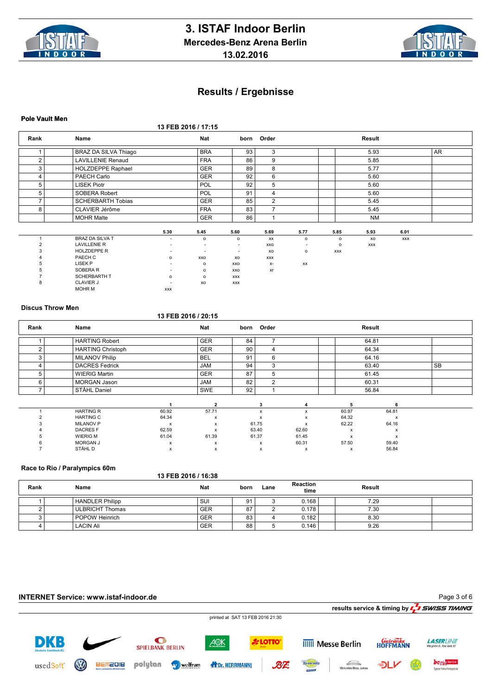



#### **Pole Vault Men**

**13 FEB 2016 / 17:15**

| Rank           | Name                     |            | <b>Nat</b>               |            | born Order     |                |            | Result     |            |           |
|----------------|--------------------------|------------|--------------------------|------------|----------------|----------------|------------|------------|------------|-----------|
| 1              | BRAZ DA SILVA Thiago     |            | <b>BRA</b>               | 93         | 3              |                |            | 5.93       |            | <b>AR</b> |
| $\overline{2}$ | <b>LAVILLENIE Renaud</b> |            | <b>FRA</b>               | 86         | 9              |                |            | 5.85       |            |           |
| 3              | HOLZDEPPE Raphael        |            | <b>GER</b>               | 89         | 8              |                |            | 5.77       |            |           |
| 4              | PAECH Carlo              |            | <b>GER</b>               | 92         | 6              |                |            | 5.60       |            |           |
| 5              | <b>LISEK Piotr</b>       |            | POL                      | 92         | 5              |                |            | 5.60       |            |           |
| 5              | SOBERA Robert            |            | <b>POL</b>               | 91         | 4              |                |            | 5.60       |            |           |
| $\overline{7}$ | <b>SCHERBARTH Tobias</b> |            | <b>GER</b>               | 85         | $\overline{2}$ |                |            | 5.45       |            |           |
| 8              | CLAVIER Jérôme           |            | <b>FRA</b>               | 83         | $\overline{7}$ |                |            | 5.45       |            |           |
|                | <b>MOHR Malte</b>        |            | <b>GER</b>               | 86         | 1              |                |            | NM         |            |           |
|                |                          | 5.30       | 5.45                     | 5.60       | 5.69           | 5.77           | 5.85       | 5.93       | 6.01       |           |
|                |                          |            |                          |            |                |                |            |            |            |           |
|                | <b>BRAZ DA SILVA T</b>   | $\sim$     | $\circ$                  | $\circ$    | XX             | $\mathsf{o}\,$ | $\circ$    | xo         | <b>XXX</b> |           |
| $\overline{2}$ | <b>LAVILLENIE R</b>      | $\sim$     | $\overline{\phantom{a}}$ | $\sim$     | XXO            |                | $\circ$    | <b>XXX</b> |            |           |
| 3              | <b>HOLZDEPPE R</b>       |            | $\overline{\phantom{a}}$ | $\sim$     | xo             | $\mathsf{o}\,$ | <b>XXX</b> |            |            |           |
|                | PAECH C                  | $\circ$    | XXO                      | XO         | <b>XXX</b>     |                |            |            |            |           |
| 5              | LISEK P                  |            | $\circ$                  | XXO        | $X-$           | XX             |            |            |            |           |
| 5              | SOBERA R                 |            | $\circ$                  | XXO        | Xr             |                |            |            |            |           |
|                | <b>SCHERBARTH T</b>      | $\circ$    | $\circ$                  | <b>XXX</b> |                |                |            |            |            |           |
| 8              | <b>CLAVIER J</b>         |            | XO                       | <b>XXX</b> |                |                |            |            |            |           |
|                | <b>MOHR M</b>            | <b>XXX</b> |                          |            |                |                |            |            |            |           |

#### **Discus Throw Men**

#### **13 FEB 2016 / 20:15**

| Rank                     | Name                     |                           | <b>Nat</b>     |    | born Order     |       |              | Result                    |           |
|--------------------------|--------------------------|---------------------------|----------------|----|----------------|-------|--------------|---------------------------|-----------|
|                          | <b>HARTING Robert</b>    |                           | <b>GER</b>     | 84 | ⇁              |       |              | 64.81                     |           |
| $\overline{2}$           | <b>HARTING Christoph</b> |                           | <b>GER</b>     | 90 | 4              |       |              | 64.34                     |           |
| 3                        | <b>MILANOV Philip</b>    |                           | <b>BEL</b>     | 91 | 6              |       |              | 64.16                     |           |
| 4                        | <b>DACRES Fedrick</b>    |                           | <b>JAM</b>     | 94 | 3              |       |              | 63.40                     | <b>SB</b> |
| 5                        | <b>WIERIG Martin</b>     |                           | <b>GER</b>     | 87 | 5              |       |              | 61.45                     |           |
| 6                        | <b>MORGAN Jason</b>      |                           | JAM            | 82 | $\overline{2}$ |       |              | 60.31                     |           |
| $\overline{\phantom{a}}$ | STÅHL Daniel             |                           | SWE            | 92 |                |       |              | 56.84                     |           |
|                          |                          |                           | $\overline{2}$ |    | 3              | 4     | 5            | 6                         |           |
|                          | <b>HARTING R</b>         | 60.92                     | 57.71          |    | x              | x     | 60.97        | 64.81                     |           |
|                          | <b>HARTING C</b>         | 64.34                     | x              |    |                | x     | 64.32        | $\boldsymbol{\mathsf{x}}$ |           |
|                          | <b>MILANOV P</b>         | $\boldsymbol{\mathsf{x}}$ | x              |    | 61.75          | x     | 62.22        | 64.16                     |           |
|                          | <b>DACRESF</b>           | 62.59                     | X              |    | 63.40          | 62.60 | $\mathsf{x}$ | $\boldsymbol{\mathsf{x}}$ |           |
|                          | <b>WIERIG M</b>          | 61.04                     | 61.39          |    | 61.37          | 61.45 | x            | x                         |           |
|                          | <b>MORGAN J</b>          | x                         | x              |    | x              | 60.31 | 57.50        | 59.40                     |           |
|                          | STÅHL D                  | x                         | х              |    | x              | x     | х            | 56.84                     |           |

#### **Race to Rio / Paralympics 60m**

|      | <b>INDUCT IN A FAIL AND INCOMED</b> | 13 FEB 2016 / 16:38 |      |      |                         |        |  |
|------|-------------------------------------|---------------------|------|------|-------------------------|--------|--|
| Rank | Name                                | <b>Nat</b>          | born | Lane | <b>Reaction</b><br>time | Result |  |
|      | HANDLER Philipp                     | SU                  | 91   |      | 0.168                   | 7.29   |  |
|      | <b>ULBRICHT Thomas</b>              | <b>GER</b>          | 87   | ົ    | 0.178                   | 7.30   |  |
|      | POPOW Heinrich                      | <b>GER</b>          | 83   |      | 0.182                   | 8.30   |  |
|      | <b>LACIN Ali</b>                    | <b>GER</b>          | 88   | 5    | 0.146                   | 9.26   |  |

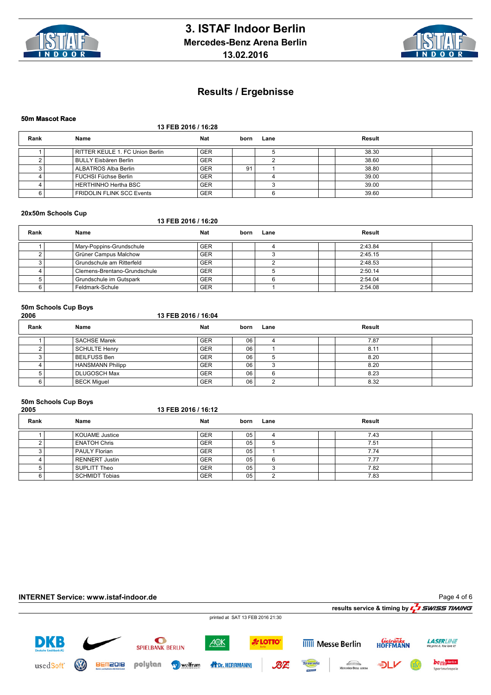



#### **50m Mascot Race**

### **13 FEB 2016 / 16:28**

| Rank | Name                             | <b>Nat</b> | born | Lane | Result |  |
|------|----------------------------------|------------|------|------|--------|--|
|      | RITTER KEULE 1. FC Union Berlin  | <b>GER</b> |      |      | 38.30  |  |
|      | BULLY Eisbären Berlin            | <b>GER</b> |      |      | 38.60  |  |
|      | ALBATROS Alba Berlin             | <b>GER</b> | 9.   |      | 38.80  |  |
|      | FUCHSI Füchse Berlin             | <b>GER</b> |      |      | 39.00  |  |
|      | HERTHINHO Hertha BSC             | <b>GER</b> |      |      | 39.00  |  |
|      | <b>FRIDOLIN FLINK SCC Events</b> | <b>GER</b> |      |      | 39.60  |  |

#### **20x50m Schools Cup**

#### **13 FEB 2016 / 16:20**

| Rank | Name                         | <b>Nat</b> | born | Lane | Result  |  |
|------|------------------------------|------------|------|------|---------|--|
|      | Mary-Poppins-Grundschule     | <b>GER</b> |      |      | 2:43.84 |  |
|      | Grüner Campus Malchow        | <b>GER</b> |      |      | 2:45.15 |  |
|      | Grundschule am Ritterfeld    | <b>GER</b> |      |      | 2:48.53 |  |
|      | Clemens-Brentano-Grundschule | <b>GER</b> |      |      | 2:50.14 |  |
|      | Grundschule im Gutspark      | <b>GER</b> |      |      | 2:54.04 |  |
|      | Feldmark-Schule              | <b>GER</b> |      |      | 2:54.08 |  |

#### **50m Schools Cup Boys**

| 2006 |  |
|------|--|
|------|--|

#### **2006 13 FEB 2016 / 16:04**

| Rank | Name                | Nat        | born | Lane |  | Result |  |
|------|---------------------|------------|------|------|--|--------|--|
|      | SACHSE Marek        | <b>GER</b> | 06   |      |  | 7.87   |  |
|      | SCHULTE Henry       | <b>GER</b> | 06   |      |  | 8.11   |  |
|      | BEILFUSS Ben        | <b>GER</b> | 06   |      |  | 8.20   |  |
|      | HANSMANN Philipp    | <b>GER</b> | 06   |      |  | 8.20   |  |
|      | <b>DLUGOSCH Max</b> | <b>GER</b> | 06   | ี    |  | 8.23   |  |
|      | <b>BECK Miguel</b>  | <b>GER</b> | 06   |      |  | 8.32   |  |

## **50m Schools Cup Boys**

| 2005 |                      | 13 FEB 2016 / 16:12 |                 |      |  |        |  |  |  |  |
|------|----------------------|---------------------|-----------------|------|--|--------|--|--|--|--|
| Rank | Name                 | <b>Nat</b>          | born            | Lane |  | Result |  |  |  |  |
|      | KOUAME Justice       | <b>GER</b>          | 05              |      |  | 7.43   |  |  |  |  |
|      | <b>ENATOH Chris</b>  | <b>GER</b>          | 05 <sub>1</sub> |      |  | 7.51   |  |  |  |  |
|      | <b>PAULY Florian</b> | <b>GER</b>          | 05              |      |  | 7.74   |  |  |  |  |
|      | RENNERT Justin       | <b>GER</b>          | 05              | 6    |  | 7.77   |  |  |  |  |
|      | SUPLITT Theo         | <b>GER</b>          | 05 <sub>1</sub> | ົ    |  | 7.82   |  |  |  |  |
|      | SCHMIDT Tobias       | <b>GER</b>          | 05              | ົ    |  | 7.83   |  |  |  |  |

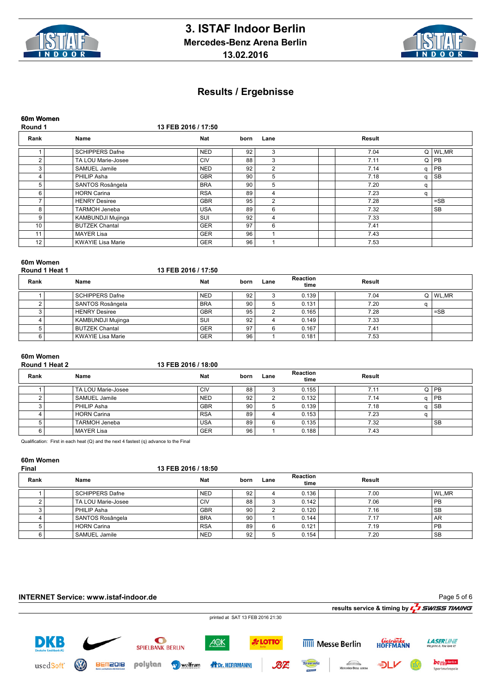



**60m Women**

### **Round 1 13 FEB 2016 / 17:50**

| Rank | Name                     | <b>Nat</b> | born | Lane | Result |   |           |
|------|--------------------------|------------|------|------|--------|---|-----------|
|      | <b>SCHIPPERS Dafne</b>   | <b>NED</b> | 92   | 3    | 7.04   | Q | WL, MR    |
| ົ    | TA LOU Marie-Josee       | <b>CIV</b> | 88   | 3    | 7.11   | Q | <b>PB</b> |
| 3    | SAMUEL Jamile            | <b>NED</b> | 92   | 2    | 7.14   | α | <b>PB</b> |
| 4    | PHILIP Asha              | <b>GBR</b> | 90   | 5    | 7.18   |   | SB        |
| 5    | SANTOS Rosângela         | <b>BRA</b> | 90   | 5    | 7.20   | α |           |
| 6    | <b>HORN Carina</b>       | <b>RSA</b> | 89   | 4    | 7.23   | a |           |
|      | <b>HENRY Desiree</b>     | <b>GBR</b> | 95   | 2    | 7.28   |   | $=$ SB    |
| 8    | <b>TARMOH Jeneba</b>     | <b>USA</b> | 89   | 6    | 7.32   |   | <b>SB</b> |
| 9    | KAMBUNDJI Mujinga        | SUI        | 92   | 4    | 7.33   |   |           |
| 10.  | <b>BUTZEK Chantal</b>    | <b>GER</b> | 97   | 6    | 7.41   |   |           |
| 11   | <b>MAYER Lisa</b>        | <b>GER</b> | 96   |      | 7.43   |   |           |
| 12   | <b>KWAYIE Lisa Marie</b> | <b>GER</b> | 96   |      | 7.53   |   |           |

#### **60m Women Round 1 Heat 1**

|  |  |  | I3 FEB 2016 / 17:50 |
|--|--|--|---------------------|
|--|--|--|---------------------|

| Rank | Name                    | <b>Nat</b> | born | Lane | <b>Reaction</b><br>time | Result |              |
|------|-------------------------|------------|------|------|-------------------------|--------|--------------|
|      | SCHIPPERS Dafne         | <b>NED</b> | 92   |      | 0.139                   | 7.04   | $Q$   WL, MR |
|      | <b>SANTOS Rosângela</b> | <b>BRA</b> | 90   |      | 0.131                   | 7.20   |              |
|      | <b>HENRY Desiree</b>    | <b>GBR</b> | 95   |      | 0.165                   | 7.28   | $=$ SB       |
|      | KAMBUNDJI Mujinga       | SUI        | 92   |      | 0.149                   | 7.33   |              |
|      | <b>BUTZEK Chantal</b>   | <b>GER</b> | 97   |      | 0.167                   | 7.41   |              |
|      | KWAYIE Lisa Marie       | <b>GER</b> | 96   |      | 0.181                   | 7.53   |              |

### **60m Women**

| Round 1 Heat 2 | 13 FEB 2016 / 18:00 |
|----------------|---------------------|
|                |                     |

| Rank | Name                 | <b>Nat</b> | born | Lane | <b>Reaction</b><br>time | Result |          |           |
|------|----------------------|------------|------|------|-------------------------|--------|----------|-----------|
|      | TA LOU Marie-Josee   | <b>CIV</b> | 88   |      | 0.155                   | 7.11   | $\Omega$ | <b>PB</b> |
|      | <b>SAMUEL Jamile</b> | <b>NED</b> | 92   |      | 0.132                   | 7.14   | n.       | <b>PB</b> |
|      | l PHILIP Asha        | <b>GBR</b> | 90   |      | 0.139                   | 7.18   | n        | <b>SB</b> |
|      | <b>HORN Carina</b>   | <b>RSA</b> | 89   | 4    | 0.153                   | 7.23   |          |           |
|      | <b>TARMOH Jeneba</b> | <b>USA</b> | 89   | 6    | 0.135                   | 7.32   |          | <b>SB</b> |
|      | l MAYER Lisa         | <b>GER</b> | 96   |      | 0.188                   | 7.43   |          |           |

Qualification: First in each heat (Q) and the next 4 fastest (q) advance to the Final

## **60m Women**

#### **Final 13 FEB 2016 / 18:50**

| Rank | Name               | <b>Nat</b> | born | Lane | <b>Reaction</b><br>time | Result |           |
|------|--------------------|------------|------|------|-------------------------|--------|-----------|
|      | l SCHIPPERS Dafne  | <b>NED</b> | 92   |      | 0.136                   | 7.00   | WL.MR     |
|      | TA LOU Marie-Josee | <b>CIV</b> | 88   |      | 0.142                   | 7.06   | <b>PB</b> |
|      | PHILIP Asha        | <b>GBR</b> | 90   |      | 0.120                   | 7.16   | <b>SB</b> |
|      | SANTOS Rosângela   | <b>BRA</b> | 90   |      | 0.144                   | 7.17   | AR        |
|      | HORN Carina        | <b>RSA</b> | 89   | 6    | 0.121                   | 7.19   | <b>PB</b> |
|      | SAMUEL Jamile      | <b>NED</b> | 92   |      | 0.154                   | 7.20   | <b>SB</b> |